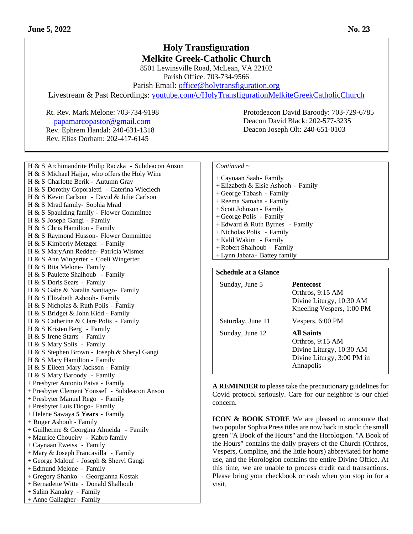# **Holy Transfiguration Melkite Greek-Catholic Church**

8501 Lewinsville Road, McLean, VA 22102 Parish Office: 703-734-9566

Parish Email: [office@holytransfiguration.org](mailto:office@holytransfiguration.org)

Livestream & Past Recordings: [youtube.com/c/HolyTransfigurationMelkiteGreekCatholicChurch](http://youtube.com/c/HolyTransfigurationMelkiteGreekCatholicChurch)

Rt. Rev. Mark Melone: 703-734-9198 Protodeacon David Baroody: 703-729-6785 [p](mailto:papamarcopastor@gmail.com)[apamarcopastor@gmail.com](mailto:papamarcopastor@gmail.com) Rev. Ephrem Handal: 240-631-1318 Rev. Elias Dorham: 202-417-6145

H & S Archimandrite Philip Raczka - Subdeacon Anson H & S Michael Hajjar, who offers the Holy Wine H & S Charlotte Berik - Autumn Gray H & S Dorothy Coporaletti - Caterina Wieciech H & S Kevin Carlson - David & Julie Carlson H & S Mrad family- Sophia Mrad H & S Spaulding family - Flower Committee H & S Joseph Gangi - Family H & S Chris Hamilton - Family H & S Raymond Husson- Flower Committee H & S Kimberly Metzger - Family H & S MaryAnn Redden- Patricia Wismer H & S Ann Wingerter - Coeli Wingerter H & S Rita Melone- Family H & S Paulette Shalhoub - Family H & S Doris Sears - Family H & S Gabe & Natalia Santiago- Family H & S Elizabeth Ashooh- Family H & S Nicholas & Ruth Polis - Family H & S Bridget & John Kidd - Family H & S Catherine & Clare Polis - Family H & S Kristen Berg - Family H & S Irene Starrs - Family H & S Mary Solis - Family H & S Stephen Brown - Joseph & Sheryl Gangi H & S Mary Hamilton - Family H & S Eileen Mary Jackson - Family H & S Mary Baroody - Family + Presbyter Antonio Paiva - Family + Presbyter Clement Youssef - Subdeacon Anson + Presbyter Manuel Rego - Family + Presbyter Luis Diogo- Family + Helene Sawaya **5 Years** - Family + Roger Ashooh - Family + Guilherme & Georgina Almeida - Family + Maurice Choueiry - Kabro family +Caynaan Eweiss - Family + Mary & Joseph Francavilla - Family + George Malouf - Joseph & Sheryl Gangi + Edmund Melone - Family + Gregory Shanko - Georgianna Kostak +Bernadette Witte - Donald Shalhoub + Salim Kanakry - Family + Anne Gallagher- Family

### *Continued ~*

+Caynaan Saah- Family + Elizabeth & Elsie Ashooh - Family + George Tabash - Family +Reema Samaha - Family + Scott Johnson - Family + George Polis - Family + Edward & Ruth Byrnes - Family + Nicholas Polis - Family + Kalil Wakim - Family +Robert Shalhoub - Family + Lynn Jabara - Battey family

Deacon David Black: 202-577-3235 Deacon Joseph Olt: 240-651-0103

## **Schedule at a Glance**

| Sunday, June 5    | <b>Pentecost</b><br>Orthros, 9:15 AM<br>Divine Liturgy, 10:30 AM<br>Kneeling Vespers, 1:00 PM                |
|-------------------|--------------------------------------------------------------------------------------------------------------|
| Saturday, June 11 | Vespers, 6:00 PM                                                                                             |
| Sunday, June 12   | <b>All Saints</b><br>Orthros, 9:15 AM<br>Divine Liturgy, 10:30 AM<br>Divine Liturgy, 3:00 PM in<br>Annapolis |

**A REMINDER** to please take the precautionary guidelines for Covid protocol seriously. Care for our neighbor is our chief concern.

**ICON & BOOK STORE** We are pleased to announce that two popular Sophia Press titles are now back in stock: the small green "A Book of the Hours" and the Horologion. "A Book of the Hours" contains the daily prayers of the Church (Orthros, Vespers, Compline, and the little hours) abbreviated for home use, and the Horologion contains the entire Divine Office. At this time, we are unable to process credit card transactions. Please bring your checkbook or cash when you stop in for a visit.